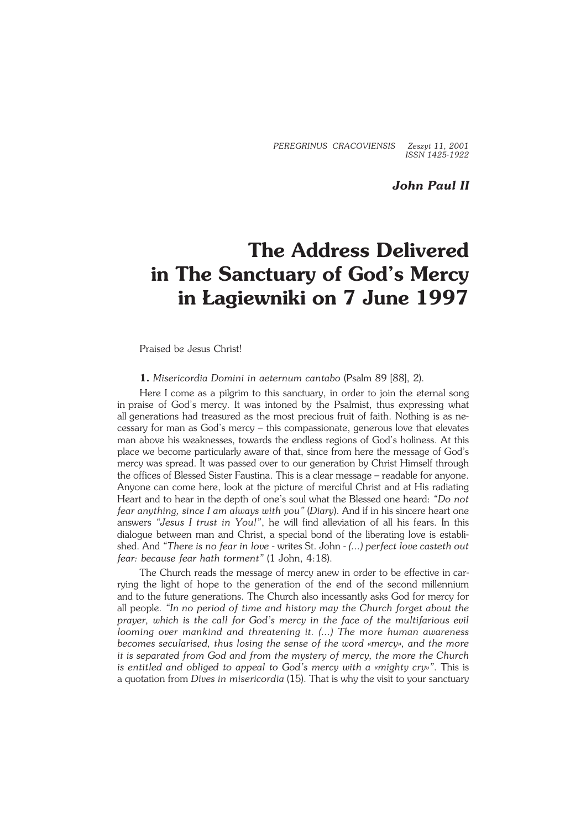*PEREGRINUS CRACOVIENSIS Zeszyt 11, 2001 ISSN 1425−1922*

*John Paul II*

## **The Address Delivered in The Sanctuary of God's Mercy in Łagiewniki on 7 June 1997**

Praised be Jesus Christ!

**1.** *Misericordia Domini in aeternum cantabo* (Psalm 89 [88], 2).

Here I come as a pilgrim to this sanctuary, in order to join the eternal song in praise of God's mercy. It was intoned by the Psalmist, thus expressing what allgenerations had treasured as the most precious fruit of faith. Nothing is as ne− cessary for man as God's mercy – this compassionate, generous love that elevates man above his weaknesses, towards the endless regions of God's holiness. At this place we become particularly aware of that, since from here the message of God's mercy was spread. It was passed over to our generation by Christ Himself through the offices of Blessed Sister Faustina. This is a clear message – readable for anyone. Anyone can come here, look at the picture of merciful Christ and at His radiating Heart and to hear inthe depth of one's soul what the Blessed one heard: *"Do not fear anything, since Iam always with you"* (*Diary*). And if in his sincere heart one answers *"Jesus I trust in You!"*, he will find alleviation of all his fears. In this dialogue between man and Christ, a special bond of the liberating love is establi− shed. And *"There is no fear in love* − writes St. John − *(...) perfect love casteth out fear: because fear hath torment"* (1 John, 4:18).

The Church reads the message of mercy anew in order to be effective in carrying the light of hope to the generation of the end of the second millennium and to the future generations. The Church also incessantly asks God for mercy for all people. "In no period of time and history may the Church forget about the *prayer, which is the call for God's mercy in the face of the multifarious evil looming over mankind and threatening it. (...) The more human awareness becomes secularised, thus losing the sense of the word «mercy», and the more* it is separated from God and from the mystery of mercy, the more the Church *is entitled and obliged to appeal to God's mercy with a «mighty cry»"*. This is a quotation from *Dives in misericordia* (15). That is why the visit to your sanctuary